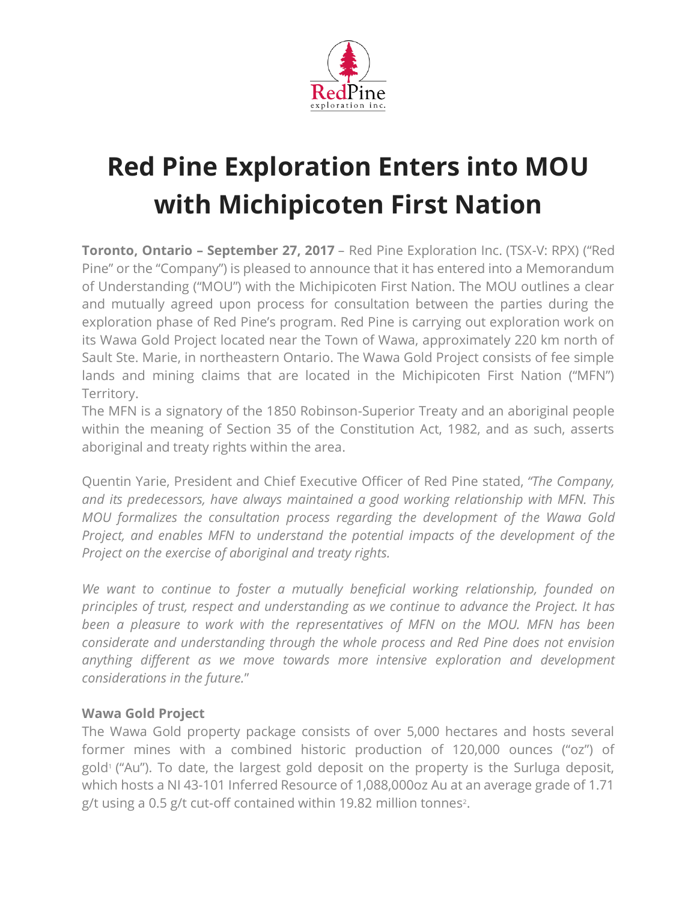

## **Red Pine Exploration Enters into MOU with Michipicoten First Nation**

**Toronto, Ontario – September 27, 2017** – Red Pine Exploration Inc. (TSX-V: RPX) ("Red Pine" or the "Company") is pleased to announce that it has entered into a Memorandum of Understanding ("MOU") with the Michipicoten First Nation. The MOU outlines a clear and mutually agreed upon process for consultation between the parties during the exploration phase of Red Pine's program. Red Pine is carrying out exploration work on its Wawa Gold Project located near the Town of Wawa, approximately 220 km north of Sault Ste. Marie, in northeastern Ontario. The Wawa Gold Project consists of fee simple lands and mining claims that are located in the Michipicoten First Nation ("MFN") Territory.

The MFN is a signatory of the 1850 Robinson-Superior Treaty and an aboriginal people within the meaning of Section 35 of the Constitution Act, 1982, and as such, asserts aboriginal and treaty rights within the area.

Quentin Yarie, President and Chief Executive Officer of Red Pine stated, *"The Company, and its predecessors, have always maintained a good working relationship with MFN. This MOU formalizes the consultation process regarding the development of the Wawa Gold Project, and enables MFN to understand the potential impacts of the development of the Project on the exercise of aboriginal and treaty rights.*

*We want to continue to foster a mutually beneficial working relationship, founded on principles of trust, respect and understanding as we continue to advance the Project. It has been a pleasure to work with the representatives of MFN on the MOU. MFN has been considerate and understanding through the whole process and Red Pine does not envision anything different as we move towards more intensive exploration and development considerations in the future.*"

## **Wawa Gold Project**

The Wawa Gold property package consists of over 5,000 hectares and hosts several former mines with a combined historic production of 120,000 ounces ("oz") of gold<sup>1</sup> ("Au"). To date, the largest gold deposit on the property is the Surluga deposit, which hosts a NI 43-101 Inferred Resource of 1,088,000oz Au at an average grade of 1.71 g/t using a 0.5 g/t cut-off contained within 19.82 million tonnes<sup>2</sup>.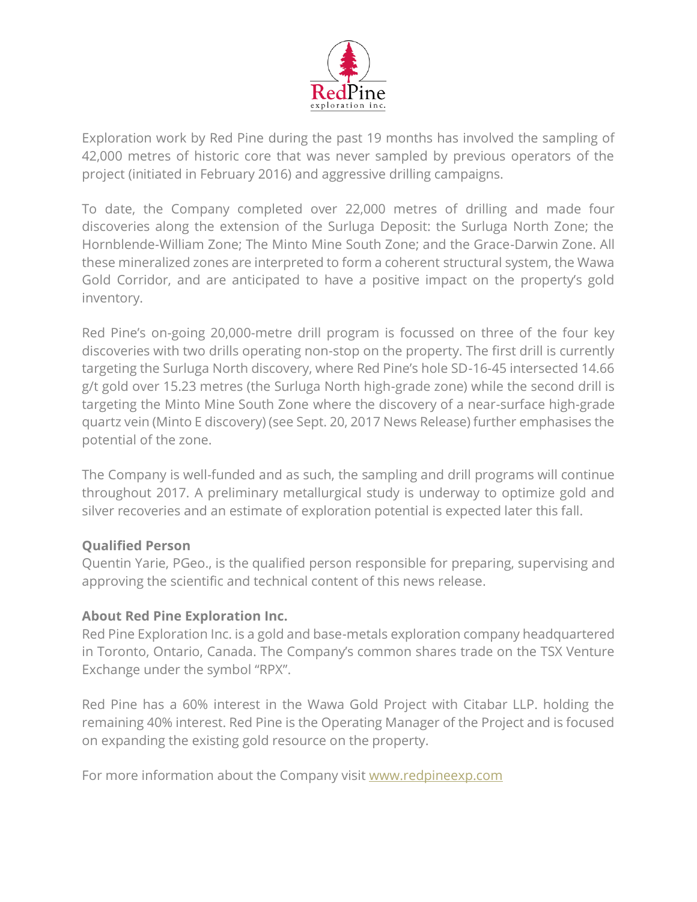

Exploration work by Red Pine during the past 19 months has involved the sampling of 42,000 metres of historic core that was never sampled by previous operators of the project (initiated in February 2016) and aggressive drilling campaigns.

To date, the Company completed over 22,000 metres of drilling and made four discoveries along the extension of the Surluga Deposit: the Surluga North Zone; the Hornblende-William Zone; The Minto Mine South Zone; and the Grace-Darwin Zone. All these mineralized zones are interpreted to form a coherent structural system, the Wawa Gold Corridor, and are anticipated to have a positive impact on the property's gold inventory.

Red Pine's on-going 20,000-metre drill program is focussed on three of the four key discoveries with two drills operating non-stop on the property. The first drill is currently targeting the Surluga North discovery, where Red Pine's hole SD-16-45 intersected 14.66 g/t gold over 15.23 metres (the Surluga North high-grade zone) while the second drill is targeting the Minto Mine South Zone where the discovery of a near-surface high-grade quartz vein (Minto E discovery) (see Sept. 20, 2017 News Release) further emphasises the potential of the zone.

The Company is well-funded and as such, the sampling and drill programs will continue throughout 2017. A preliminary metallurgical study is underway to optimize gold and silver recoveries and an estimate of exploration potential is expected later this fall.

## **Qualified Person**

Quentin Yarie, PGeo., is the qualified person responsible for preparing, supervising and approving the scientific and technical content of this news release.

## **About Red Pine Exploration Inc.**

Red Pine Exploration Inc. is a gold and base-metals exploration company headquartered in Toronto, Ontario, Canada. The Company's common shares trade on the TSX Venture Exchange under the symbol "RPX".

Red Pine has a 60% interest in the Wawa Gold Project with Citabar LLP. holding the remaining 40% interest. Red Pine is the Operating Manager of the Project and is focused on expanding the existing gold resource on the property.

For more information about the Company visit [www.redpineexp.com](http://www.redpineexp.com/)